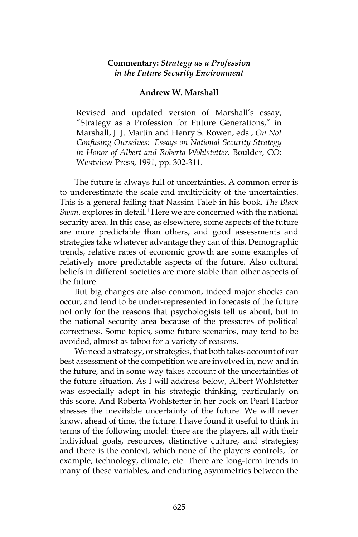## **Commentary:** *Strategy as a Profession in the Future Security Environment*

### **Andrew W. Marshall**

Revised and updated version of Marshall's essay, "Strategy as a Profession for Future Generations," in Marshall, J. J. Martin and Henry S. Rowen, eds., *On Not Confusing Ourselves: Essays on National Security Strategy in Honor of Albert and Roberta Wohlstetter,* Boulder, CO: Westview Press, 1991, pp. 302-311.

The future is always full of uncertainties. A common error is to underestimate the scale and multiplicity of the uncertainties. This is a general failing that Nassim Taleb in his book, *The Black*  Swan, explores in detail.<sup>1</sup> Here we are concerned with the national security area. In this case, as elsewhere, some aspects of the future are more predictable than others, and good assessments and strategies take whatever advantage they can of this. Demographic trends, relative rates of economic growth are some examples of relatively more predictable aspects of the future. Also cultural beliefs in different societies are more stable than other aspects of the future.

But big changes are also common, indeed major shocks can occur, and tend to be under-represented in forecasts of the future not only for the reasons that psychologists tell us about, but in the national security area because of the pressures of political correctness. Some topics, some future scenarios, may tend to be avoided, almost as taboo for a variety of reasons.

We need a strategy, or strategies, that both takes account of our best assessment of the competition we are involved in, now and in the future, and in some way takes account of the uncertainties of the future situation. As I will address below, Albert Wohlstetter was especially adept in his strategic thinking, particularly on this score. And Roberta Wohlstetter in her book on Pearl Harbor stresses the inevitable uncertainty of the future. We will never know, ahead of time, the future. I have found it useful to think in terms of the following model: there are the players, all with their individual goals, resources, distinctive culture, and strategies; and there is the context, which none of the players controls, for example, technology, climate, etc. There are long-term trends in many of these variables, and enduring asymmetries between the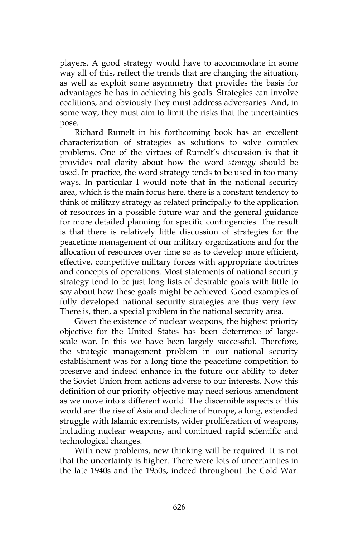players. A good strategy would have to accommodate in some way all of this, reflect the trends that are changing the situation, as well as exploit some asymmetry that provides the basis for advantages he has in achieving his goals. Strategies can involve coalitions, and obviously they must address adversaries. And, in some way, they must aim to limit the risks that the uncertainties pose.

Richard Rumelt in his forthcoming book has an excellent characterization of strategies as solutions to solve complex problems. One of the virtues of Rumelt's discussion is that it provides real clarity about how the word *strategy* should be used. In practice, the word strategy tends to be used in too many ways. In particular I would note that in the national security area, which is the main focus here, there is a constant tendency to think of military strategy as related principally to the application of resources in a possible future war and the general guidance for more detailed planning for specific contingencies. The result is that there is relatively little discussion of strategies for the peacetime management of our military organizations and for the allocation of resources over time so as to develop more efficient, effective, competitive military forces with appropriate doctrines and concepts of operations. Most statements of national security strategy tend to be just long lists of desirable goals with little to say about how these goals might be achieved. Good examples of fully developed national security strategies are thus very few. There is, then, a special problem in the national security area.

Given the existence of nuclear weapons, the highest priority objective for the United States has been deterrence of largescale war. In this we have been largely successful. Therefore, the strategic management problem in our national security establishment was for a long time the peacetime competition to preserve and indeed enhance in the future our ability to deter the Soviet Union from actions adverse to our interests. Now this definition of our priority objective may need serious amendment as we move into a different world. The discernible aspects of this world are: the rise of Asia and decline of Europe, a long, extended struggle with Islamic extremists, wider proliferation of weapons, including nuclear weapons, and continued rapid scientific and technological changes.

With new problems, new thinking will be required. It is not that the uncertainty is higher. There were lots of uncertainties in the late 1940s and the 1950s, indeed throughout the Cold War.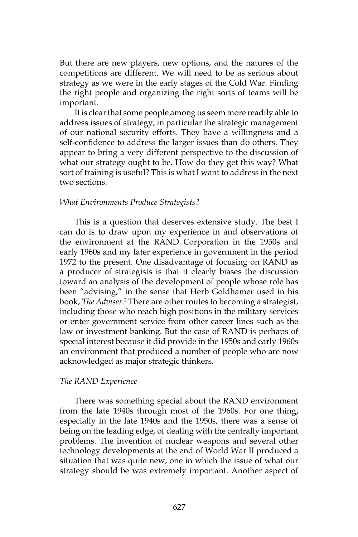But there are new players, new options, and the natures of the competitions are different. We will need to be as serious about strategy as we were in the early stages of the Cold War. Finding the right people and organizing the right sorts of teams will be important.

It is clear that some people among us seem more readily able to address issues of strategy, in particular the strategic management of our national security efforts. They have a willingness and a self-confidence to address the larger issues than do others. They appear to bring a very different perspective to the discussion of what our strategy ought to be. How do they get this way? What sort of training is useful? This is what I want to address in the next two sections.

### *What Environments Produce Strategists?*

This is a question that deserves extensive study. The best I can do is to draw upon my experience in and observations of the environment at the RAND Corporation in the 1950s and early 1960s and my later experience in government in the period 1972 to the present. One disadvantage of focusing on RAND as a producer of strategists is that it clearly biases the discussion toward an analysis of the development of people whose role has been "advising," in the sense that Herb Goldhamer used in his book, *The Adviser*.<sup>2</sup> There are other routes to becoming a strategist, including those who reach high positions in the military services or enter government service from other career lines such as the law or investment banking. But the case of RAND is perhaps of special interest because it did provide in the 1950s and early 1960s an environment that produced a number of people who are now acknowledged as major strategic thinkers.

## *The RAND Experience*

There was something special about the RAND environment from the late 1940s through most of the 1960s. For one thing, especially in the late 1940s and the 1950s, there was a sense of being on the leading edge, of dealing with the centrally important problems. The invention of nuclear weapons and several other technology developments at the end of World War II produced a situation that was quite new, one in which the issue of what our strategy should be was extremely important. Another aspect of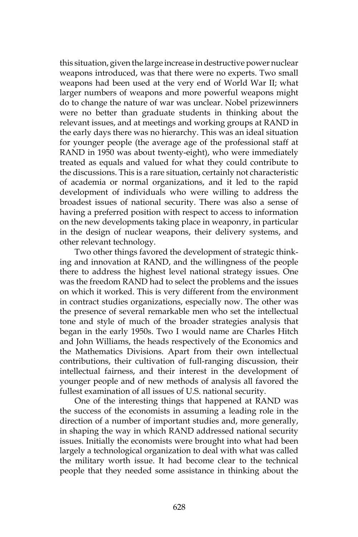this situation, given the large increase in destructive power nuclear weapons introduced, was that there were no experts. Two small weapons had been used at the very end of World War II; what larger numbers of weapons and more powerful weapons might do to change the nature of war was unclear. Nobel prizewinners were no better than graduate students in thinking about the relevant issues, and at meetings and working groups at RAND in the early days there was no hierarchy. This was an ideal situation for younger people (the average age of the professional staff at RAND in 1950 was about twenty-eight), who were immediately treated as equals and valued for what they could contribute to the discussions. This is a rare situation, certainly not characteristic of academia or normal organizations, and it led to the rapid development of individuals who were willing to address the broadest issues of national security. There was also a sense of having a preferred position with respect to access to information on the new developments taking place in weaponry, in particular in the design of nuclear weapons, their delivery systems, and other relevant technology.

Two other things favored the development of strategic thinking and innovation at RAND, and the willingness of the people there to address the highest level national strategy issues. One was the freedom RAND had to select the problems and the issues on which it worked. This is very different from the environment in contract studies organizations, especially now. The other was the presence of several remarkable men who set the intellectual tone and style of much of the broader strategies analysis that began in the early 1950s. Two I would name are Charles Hitch and John Williams, the heads respectively of the Economics and the Mathematics Divisions. Apart from their own intellectual contributions, their cultivation of full-ranging discussion, their intellectual fairness, and their interest in the development of younger people and of new methods of analysis all favored the fullest examination of all issues of U.S. national security.

One of the interesting things that happened at RAND was the success of the economists in assuming a leading role in the direction of a number of important studies and, more generally, in shaping the way in which RAND addressed national security issues. Initially the economists were brought into what had been largely a technological organization to deal with what was called the military worth issue. It had become clear to the technical people that they needed some assistance in thinking about the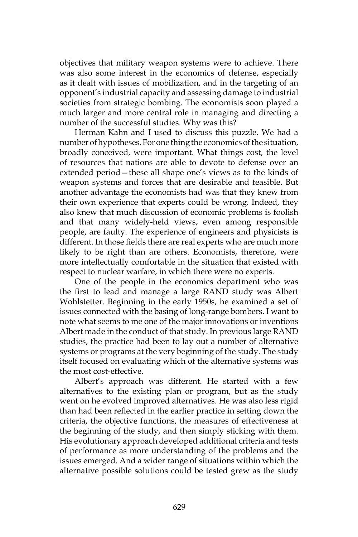objectives that military weapon systems were to achieve. There was also some interest in the economics of defense, especially as it dealt with issues of mobilization, and in the targeting of an opponent's industrial capacity and assessing damage to industrial societies from strategic bombing. The economists soon played a much larger and more central role in managing and directing a number of the successful studies. Why was this?

Herman Kahn and I used to discuss this puzzle. We had a number of hypotheses. For one thing the economics of the situation, broadly conceived, were important. What things cost, the level of resources that nations are able to devote to defense over an extended period—these all shape one's views as to the kinds of weapon systems and forces that are desirable and feasible. But another advantage the economists had was that they knew from their own experience that experts could be wrong. Indeed, they also knew that much discussion of economic problems is foolish and that many widely-held views, even among responsible people, are faulty. The experience of engineers and physicists is different. In those fields there are real experts who are much more likely to be right than are others. Economists, therefore, were more intellectually comfortable in the situation that existed with respect to nuclear warfare, in which there were no experts.

One of the people in the economics department who was the first to lead and manage a large RAND study was Albert Wohlstetter. Beginning in the early 1950s, he examined a set of issues connected with the basing of long-range bombers. I want to note what seems to me one of the major innovations or inventions Albert made in the conduct of that study. In previous large RAND studies, the practice had been to lay out a number of alternative systems or programs at the very beginning of the study. The study itself focused on evaluating which of the alternative systems was the most cost-effective.

Albert's approach was different. He started with a few alternatives to the existing plan or program, but as the study went on he evolved improved alternatives. He was also less rigid than had been reflected in the earlier practice in setting down the criteria, the objective functions, the measures of effectiveness at the beginning of the study, and then simply sticking with them. His evolutionary approach developed additional criteria and tests of performance as more understanding of the problems and the issues emerged. And a wider range of situations within which the alternative possible solutions could be tested grew as the study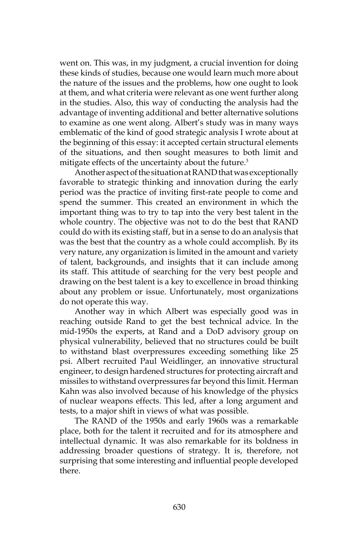went on. This was, in my judgment, a crucial invention for doing these kinds of studies, because one would learn much more about the nature of the issues and the problems, how one ought to look at them, and what criteria were relevant as one went further along in the studies. Also, this way of conducting the analysis had the advantage of inventing additional and better alternative solutions to examine as one went along. Albert's study was in many ways emblematic of the kind of good strategic analysis I wrote about at the beginning of this essay: it accepted certain structural elements of the situations, and then sought measures to both limit and mitigate effects of the uncertainty about the future.<sup>3</sup>

Another aspect of the situation at RAND that was exceptionally favorable to strategic thinking and innovation during the early period was the practice of inviting first-rate people to come and spend the summer. This created an environment in which the important thing was to try to tap into the very best talent in the whole country. The objective was not to do the best that RAND could do with its existing staff, but in a sense to do an analysis that was the best that the country as a whole could accomplish. By its very nature, any organization is limited in the amount and variety of talent, backgrounds, and insights that it can include among its staff. This attitude of searching for the very best people and drawing on the best talent is a key to excellence in broad thinking about any problem or issue. Unfortunately, most organizations do not operate this way.

Another way in which Albert was especially good was in reaching outside Rand to get the best technical advice. In the mid-1950s the experts, at Rand and a DoD advisory group on physical vulnerability, believed that no structures could be built to withstand blast overpressures exceeding something like 25 psi. Albert recruited Paul Weidlinger, an innovative structural engineer, to design hardened structures for protecting aircraft and missiles to withstand overpressures far beyond this limit. Herman Kahn was also involved because of his knowledge of the physics of nuclear weapons effects. This led, after a long argument and tests, to a major shift in views of what was possible.

The RAND of the 1950s and early 1960s was a remarkable place, both for the talent it recruited and for its atmosphere and intellectual dynamic. It was also remarkable for its boldness in addressing broader questions of strategy. It is, therefore, not surprising that some interesting and influential people developed there.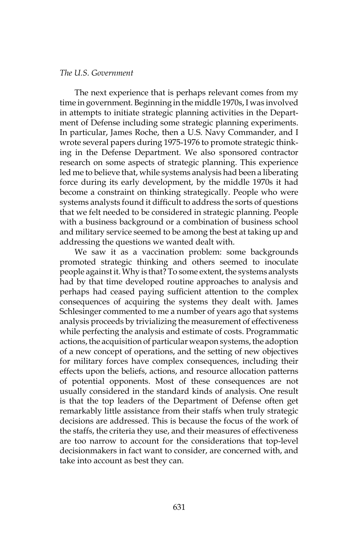#### *The U.S. Government*

The next experience that is perhaps relevant comes from my time in government. Beginning in the middle 1970s, I was involved in attempts to initiate strategic planning activities in the Department of Defense including some strategic planning experiments. In particular, James Roche, then a U.S. Navy Commander, and I wrote several papers during 1975-1976 to promote strategic thinking in the Defense Department. We also sponsored contractor research on some aspects of strategic planning. This experience led me to believe that, while systems analysis had been a liberating force during its early development, by the middle 1970s it had become a constraint on thinking strategically. People who were systems analysts found it difficult to address the sorts of questions that we felt needed to be considered in strategic planning. People with a business background or a combination of business school and military service seemed to be among the best at taking up and addressing the questions we wanted dealt with.

We saw it as a vaccination problem: some backgrounds promoted strategic thinking and others seemed to inoculate people against it. Why is that? To some extent, the systems analysts had by that time developed routine approaches to analysis and perhaps had ceased paying sufficient attention to the complex consequences of acquiring the systems they dealt with. James Schlesinger commented to me a number of years ago that systems analysis proceeds by trivializing the measurement of effectiveness while perfecting the analysis and estimate of costs. Programmatic actions, the acquisition of particular weapon systems, the adoption of a new concept of operations, and the setting of new objectives for military forces have complex consequences, including their effects upon the beliefs, actions, and resource allocation patterns of potential opponents. Most of these consequences are not usually considered in the standard kinds of analysis. One result is that the top leaders of the Department of Defense often get remarkably little assistance from their staffs when truly strategic decisions are addressed. This is because the focus of the work of the staffs, the criteria they use, and their measures of effectiveness are too narrow to account for the considerations that top-level decisionmakers in fact want to consider, are concerned with, and take into account as best they can.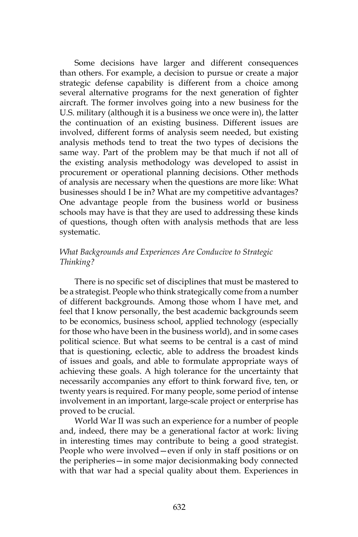Some decisions have larger and different consequences than others. For example, a decision to pursue or create a major strategic defense capability is different from a choice among several alternative programs for the next generation of fighter aircraft. The former involves going into a new business for the U.S. military (although it is a business we once were in), the latter the continuation of an existing business. Different issues are involved, different forms of analysis seem needed, but existing analysis methods tend to treat the two types of decisions the same way. Part of the problem may be that much if not all of the existing analysis methodology was developed to assist in procurement or operational planning decisions. Other methods of analysis are necessary when the questions are more like: What businesses should I be in? What are my competitive advantages? One advantage people from the business world or business schools may have is that they are used to addressing these kinds of questions, though often with analysis methods that are less systematic.

# *What Backgrounds and Experiences Are Conducive to Strategic Thinking?*

There is no specific set of disciplines that must be mastered to be a strategist. People who think strategically come from a number of different backgrounds. Among those whom I have met, and feel that I know personally, the best academic backgrounds seem to be economics, business school, applied technology (especially for those who have been in the business world), and in some cases political science. But what seems to be central is a cast of mind that is questioning, eclectic, able to address the broadest kinds of issues and goals, and able to formulate appropriate ways of achieving these goals. A high tolerance for the uncertainty that necessarily accompanies any effort to think forward five, ten, or twenty years is required. For many people, some period of intense involvement in an important, large-scale project or enterprise has proved to be crucial.

World War II was such an experience for a number of people and, indeed, there may be a generational factor at work: living in interesting times may contribute to being a good strategist. People who were involved—even if only in staff positions or on the peripheries—in some major decisionmaking body connected with that war had a special quality about them. Experiences in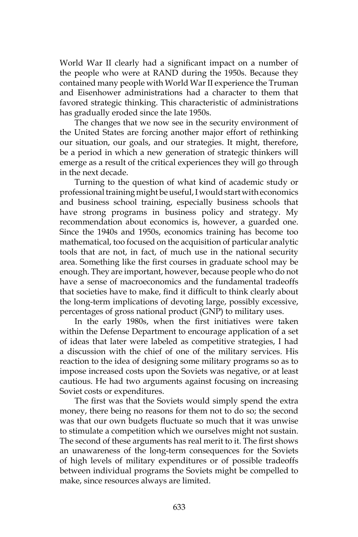World War II clearly had a significant impact on a number of the people who were at RAND during the 1950s. Because they contained many people with World War II experience the Truman and Eisenhower administrations had a character to them that favored strategic thinking. This characteristic of administrations has gradually eroded since the late 1950s.

The changes that we now see in the security environment of the United States are forcing another major effort of rethinking our situation, our goals, and our strategies. It might, therefore, be a period in which a new generation of strategic thinkers will emerge as a result of the critical experiences they will go through in the next decade.

Turning to the question of what kind of academic study or professional training might be useful, I would start with economics and business school training, especially business schools that have strong programs in business policy and strategy. My recommendation about economics is, however, a guarded one. Since the 1940s and 1950s, economics training has become too mathematical, too focused on the acquisition of particular analytic tools that are not, in fact, of much use in the national security area. Something like the first courses in graduate school may be enough. They are important, however, because people who do not have a sense of macroeconomics and the fundamental tradeoffs that societies have to make, find it difficult to think clearly about the long-term implications of devoting large, possibly excessive, percentages of gross national product (GNP) to military uses.

In the early 1980s, when the first initiatives were taken within the Defense Department to encourage application of a set of ideas that later were labeled as competitive strategies, I had a discussion with the chief of one of the military services. His reaction to the idea of designing some military programs so as to impose increased costs upon the Soviets was negative, or at least cautious. He had two arguments against focusing on increasing Soviet costs or expenditures.

The first was that the Soviets would simply spend the extra money, there being no reasons for them not to do so; the second was that our own budgets fluctuate so much that it was unwise to stimulate a competition which we ourselves might not sustain. The second of these arguments has real merit to it. The first shows an unawareness of the long-term consequences for the Soviets of high levels of military expenditures or of possible tradeoffs between individual programs the Soviets might be compelled to make, since resources always are limited.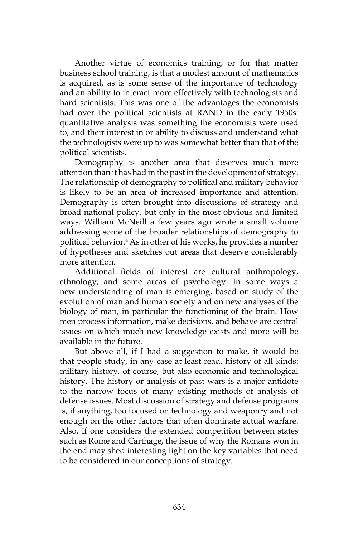Another virtue of economics training, or for that matter business school training, is that a modest amount of mathematics is acquired, as is some sense of the importance of technology and an ability to interact more effectively with technologists and hard scientists. This was one of the advantages the economists had over the political scientists at RAND in the early 1950s: quantitative analysis was something the economists were used to, and their interest in or ability to discuss and understand what the technologists were up to was somewhat better than that of the political scientists.

Demography is another area that deserves much more attention than it has had in the past in the development of strategy. The relationship of demography to political and military behavior is likely to be an area of increased importance and attention. Demography is often brought into discussions of strategy and broad national policy, but only in the most obvious and limited ways. William McNeill a few years ago wrote a small volume addressing some of the broader relationships of demography to political behavior.4 As in other of his works, he provides a number of hypotheses and sketches out areas that deserve considerably more attention.

Additional fields of interest are cultural anthropology, ethnology, and some areas of psychology. In some ways a new understanding of man is emerging, based on study of the evolution of man and human society and on new analyses of the biology of man, in particular the functioning of the brain. How men process information, make decisions, and behave are central issues on which much new knowledge exists and more will be available in the future.

But above all, if I had a suggestion to make, it would be that people study, in any case at least read, history of all kinds: military history, of course, but also economic and technological history. The history or analysis of past wars is a major antidote to the narrow focus of many existing methods of analysis of defense issues. Most discussion of strategy and defense programs is, if anything, too focused on technology and weaponry and not enough on the other factors that often dominate actual warfare. Also, if one considers the extended competition between states such as Rome and Carthage, the issue of why the Romans won in the end may shed interesting light on the key variables that need to be considered in our conceptions of strategy.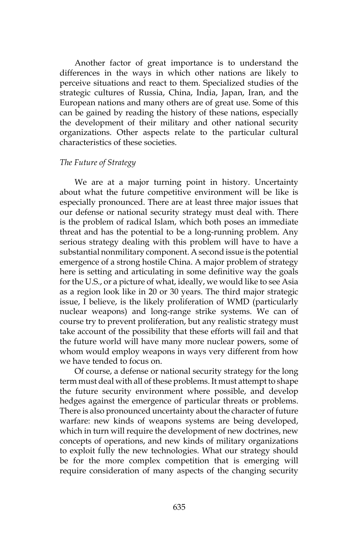Another factor of great importance is to understand the differences in the ways in which other nations are likely to perceive situations and react to them. Specialized studies of the strategic cultures of Russia, China, India, Japan, Iran, and the European nations and many others are of great use. Some of this can be gained by reading the history of these nations, especially the development of their military and other national security organizations. Other aspects relate to the particular cultural characteristics of these societies.

### *The Future of Strategy*

We are at a major turning point in history. Uncertainty about what the future competitive environment will be like is especially pronounced. There are at least three major issues that our defense or national security strategy must deal with. There is the problem of radical Islam, which both poses an immediate threat and has the potential to be a long-running problem. Any serious strategy dealing with this problem will have to have a substantial nonmilitary component. A second issue is the potential emergence of a strong hostile China. A major problem of strategy here is setting and articulating in some definitive way the goals for the U.S., or a picture of what, ideally, we would like to see Asia as a region look like in 20 or 30 years. The third major strategic issue, I believe, is the likely proliferation of WMD (particularly nuclear weapons) and long-range strike systems. We can of course try to prevent proliferation, but any realistic strategy must take account of the possibility that these efforts will fail and that the future world will have many more nuclear powers, some of whom would employ weapons in ways very different from how we have tended to focus on.

Of course, a defense or national security strategy for the long term must deal with all of these problems. It must attempt to shape the future security environment where possible, and develop hedges against the emergence of particular threats or problems. There is also pronounced uncertainty about the character of future warfare: new kinds of weapons systems are being developed, which in turn will require the development of new doctrines, new concepts of operations, and new kinds of military organizations to exploit fully the new technologies. What our strategy should be for the more complex competition that is emerging will require consideration of many aspects of the changing security